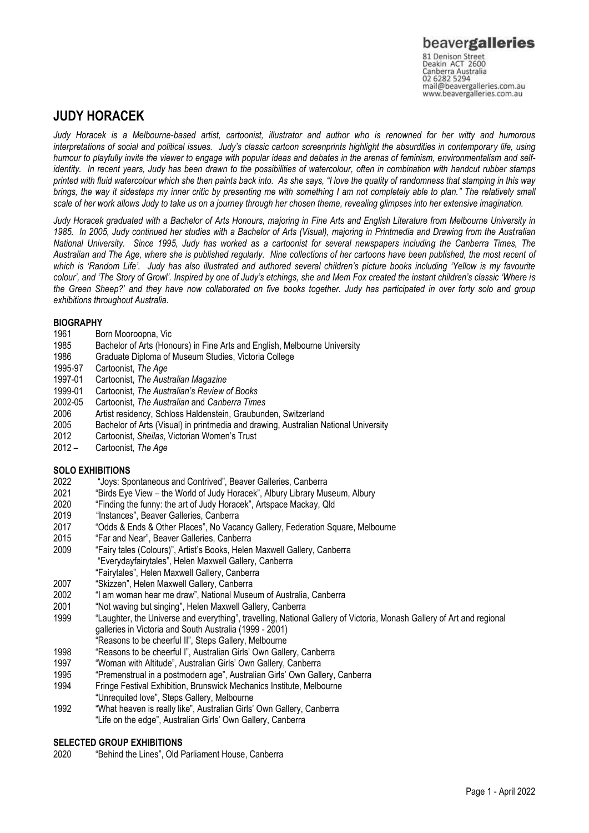### **JUDY HORACEK**

*Judy Horacek is a Melbourne-based artist, cartoonist, illustrator and author who is renowned for her witty and humorous interpretations of social and political issues. Judy's classic cartoon screenprints highlight the absurdities in contemporary life, using humour to playfully invite the viewer to engage with popular ideas and debates in the arenas of feminism, environmentalism and self*identity. In recent years, Judy has been drawn to the possibilities of watercolour, often in combination with handcut rubber stamps *printed with fluid watercolour which she then paints back into. As she says, "I love the quality of randomness that stamping in this way brings, the way it sidesteps my inner critic by presenting me with something I am not completely able to plan." The relatively small scale of her work allows Judy to take us on a journey through her chosen theme, revealing glimpses into her extensive imagination.*

*Judy Horacek graduated with a Bachelor of Arts Honours, majoring in Fine Arts and English Literature from Melbourne University in 1985. In 2005, Judy continued her studies with a Bachelor of Arts (Visual), majoring in Printmedia and Drawing from the Australian National University. Since 1995, Judy has worked as a cartoonist for several newspapers including the Canberra Times, The Australian and The Age, where she is published regularly. Nine collections of her cartoons have been published, the most recent of which is 'Random Life'. Judy has also illustrated and authored several children's picture books including 'Yellow is my favourite colour', and 'The Story of Growl'. Inspired by one of Judy's etchings, she and Mem Fox created the instant children's classic 'Where is the Green Sheep?' and they have now collaborated on five books together. Judy has participated in over forty solo and group exhibitions throughout Australia.* 

## **BIOGRAPHY**<br>1961 Bo

- 1961 Born Mooroopna, Vic<br>1985 Bachelor of Arts (Hon
- Bachelor of Arts (Honours) in Fine Arts and English, Melbourne University
- 1986 Graduate Diploma of Museum Studies, Victoria College
- 1995-97 Cartoonist, *The Age*
- 1997-01 Cartoonist, *The Australian Magazine*
- 1999-01 Cartoonist, *The Australian's Review of Books*
- 2002-05 Cartoonist, *The Australian* and *Canberra Times*
- 2006 Artist residency, Schloss Haldenstein, Graubunden, Switzerland
- 2005 Bachelor of Arts (Visual) in printmedia and drawing, Australian National University
- 2012 Cartoonist, *Sheilas*, Victorian Women's Trust
- 2012 Cartoonist, *The Age*

# **SOLO EXHIBITIONS**<br>2022 "Jovs: Sp

- 2022 "Joys: Spontaneous and Contrived", Beaver Galleries, Canberra
- 2021 "Birds Eye View the World of Judy Horacek", Albury Library Museum, Albury<br>2020 "Finding the funny: the art of Judy Horacek", Artspace Mackay, Qld
- "Finding the funny: the art of Judy Horacek", Artspace Mackay, Qld
- 2019 "Instances", Beaver Galleries, Canberra
- 2017 "Odds & Ends & Other Places", No Vacancy Gallery, Federation Square, Melbourne
- 2015 "Far and Near", Beaver Galleries, Canberra
- 2009 "Fairy tales (Colours)", Artist's Books, Helen Maxwell Gallery, Canberra
- "Everydayfairytales", Helen Maxwell Gallery, Canberra
- "Fairytales", Helen Maxwell Gallery, Canberra
- 2007 "Skizzen", Helen Maxwell Gallery, Canberra
- 2002 "I am woman hear me draw", National Museum of Australia, Canberra
- 2001 "Not waving but singing", Helen Maxwell Gallery, Canberra
- 1999 "Laughter, the Universe and everything", travelling, National Gallery of Victoria, Monash Gallery of Art and regional galleries in Victoria and South Australia (1999 - 2001)
- "Reasons to be cheerful II", Steps Gallery, Melbourne
- 1998 "Reasons to be cheerful I", Australian Girls' Own Gallery, Canberra
- 1997 "Woman with Altitude", Australian Girls' Own Gallery, Canberra
- 1995 "Premenstrual in a postmodern age", Australian Girls' Own Gallery, Canberra
- 1994 Fringe Festival Exhibition, Brunswick Mechanics Institute, Melbourne
- "Unrequited love", Steps Gallery, Melbourne
- 1992 "What heaven is really like", Australian Girls' Own Gallery, Canberra "Life on the edge", Australian Girls' Own Gallery, Canberra

### **SELECTED GROUP EXHIBITIONS**<br>2020 **FRepare 1** Service 1 Lines<sup>"</sup> Old F

"Behind the Lines", Old Parliament House, Canberra